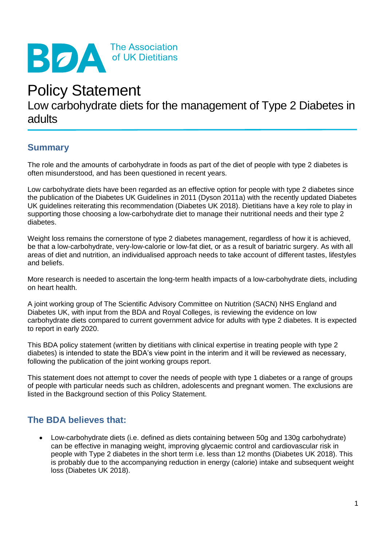

# Policy Statement

## Low carbohydrate diets for the management of Type 2 Diabetes in adults

## **Summary**

The role and the amounts of carbohydrate in foods as part of the diet of people with type 2 diabetes is often misunderstood, and has been questioned in recent years.

Low carbohydrate diets have been regarded as an effective option for people with type 2 diabetes since the publication of the Diabetes UK Guidelines in 2011 (Dyson 2011a) with the recently updated Diabetes UK guidelines reiterating this recommendation (Diabetes UK 2018). Dietitians have a key role to play in supporting those choosing a low-carbohydrate diet to manage their nutritional needs and their type 2 diabetes.

Weight loss remains the cornerstone of type 2 diabetes management, regardless of how it is achieved, be that a low-carbohydrate, very-low-calorie or low-fat diet, or as a result of bariatric surgery. As with all areas of diet and nutrition, an individualised approach needs to take account of different tastes, lifestyles and beliefs.

More research is needed to ascertain the long-term health impacts of a low-carbohydrate diets, including on heart health.

A joint working group of The Scientific Advisory Committee on Nutrition (SACN) NHS England and Diabetes UK, with input from the BDA and Royal Colleges, is reviewing the evidence on low carbohydrate diets compared to current government advice for adults with type 2 diabetes. It is expected to report in early 2020.

This BDA policy statement (written by dietitians with clinical expertise in treating people with type 2 diabetes) is intended to state the BDA's view point in the interim and it will be reviewed as necessary, following the publication of the joint working groups report.

This statement does not attempt to cover the needs of people with type 1 diabetes or a range of groups of people with particular needs such as children, adolescents and pregnant women. The exclusions are listed in the Background section of this Policy Statement.

## **The BDA believes that:**

• Low-carbohydrate diets (i.e. defined as diets containing between 50g and 130g carbohydrate) can be effective in managing weight, improving glycaemic control and cardiovascular risk in people with Type 2 diabetes in the short term i.e. less than 12 months (Diabetes UK 2018). This is probably due to the accompanying reduction in energy (calorie) intake and subsequent weight loss (Diabetes UK 2018).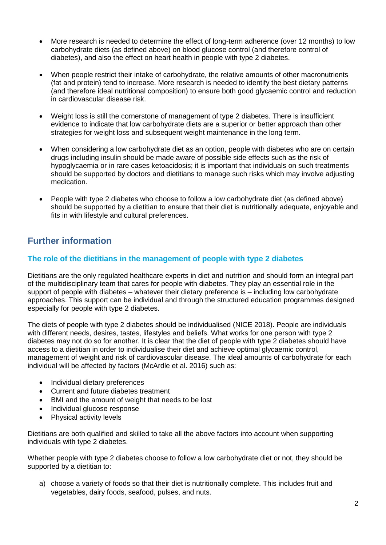- More research is needed to determine the effect of long-term adherence (over 12 months) to low carbohydrate diets (as defined above) on blood glucose control (and therefore control of diabetes), and also the effect on heart health in people with type 2 diabetes.
- When people restrict their intake of carbohydrate, the relative amounts of other macronutrients (fat and protein) tend to increase. More research is needed to identify the best dietary patterns (and therefore ideal nutritional composition) to ensure both good glycaemic control and reduction in cardiovascular disease risk.
- Weight loss is still the cornerstone of management of type 2 diabetes. There is insufficient evidence to indicate that low carbohydrate diets are a superior or better approach than other strategies for weight loss and subsequent weight maintenance in the long term.
- When considering a low carbohydrate diet as an option, people with diabetes who are on certain drugs including insulin should be made aware of possible side effects such as the risk of hypoglycaemia or in rare cases ketoacidosis; it is important that individuals on such treatments should be supported by doctors and dietitians to manage such risks which may involve adjusting medication.
- People with type 2 diabetes who choose to follow a low carbohydrate diet (as defined above) should be supported by a dietitian to ensure that their diet is nutritionally adequate, enjoyable and fits in with lifestyle and cultural preferences.

## **Further information**

#### **The role of the dietitians in the management of people with type 2 diabetes**

Dietitians are the only regulated healthcare experts in diet and nutrition and should form an integral part of the multidisciplinary team that cares for people with diabetes. They play an essential role in the support of people with diabetes – whatever their dietary preference is – including low carbohydrate approaches. This support can be individual and through the structured education programmes designed especially for people with type 2 diabetes.

The diets of people with type 2 diabetes should be individualised (NICE 2018). People are individuals with different needs, desires, tastes, lifestyles and beliefs. What works for one person with type 2 diabetes may not do so for another. It is clear that the diet of people with type 2 diabetes should have access to a dietitian in order to individualise their diet and achieve optimal glycaemic control, management of weight and risk of cardiovascular disease. The ideal amounts of carbohydrate for each individual will be affected by factors (McArdle et al. 2016) such as:

- Individual dietary preferences
- Current and future diabetes treatment
- BMI and the amount of weight that needs to be lost
- Individual glucose response
- Physical activity levels

Dietitians are both qualified and skilled to take all the above factors into account when supporting individuals with type 2 diabetes.

Whether people with type 2 diabetes choose to follow a low carbohydrate diet or not, they should be supported by a dietitian to:

a) choose a variety of foods so that their diet is nutritionally complete. This includes fruit and vegetables, dairy foods, seafood, pulses, and nuts.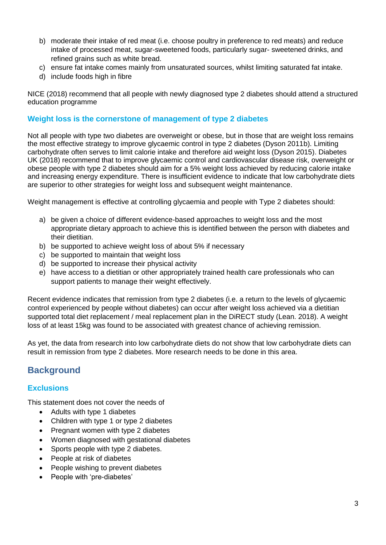- b) moderate their intake of red meat (i.e. choose poultry in preference to red meats) and reduce intake of processed meat, sugar-sweetened foods, particularly sugar- sweetened drinks, and refined grains such as white bread.
- c) ensure fat intake comes mainly from unsaturated sources, whilst limiting saturated fat intake.
- d) include foods high in fibre

NICE (2018) recommend that all people with newly diagnosed type 2 diabetes should attend a structured education programme

#### **Weight loss is the cornerstone of management of type 2 diabetes**

Not all people with type two diabetes are overweight or obese, but in those that are weight loss remains the most effective strategy to improve glycaemic control in type 2 diabetes (Dyson 2011b). Limiting carbohydrate often serves to limit calorie intake and therefore aid weight loss (Dyson 2015). Diabetes UK (2018) recommend that to improve glycaemic control and cardiovascular disease risk, overweight or obese people with type 2 diabetes should aim for a 5% weight loss achieved by reducing calorie intake and increasing energy expenditure. There is insufficient evidence to indicate that low carbohydrate diets are superior to other strategies for weight loss and subsequent weight maintenance.

Weight management is effective at controlling glycaemia and people with Type 2 diabetes should:

- a) be given a choice of different evidence-based approaches to weight loss and the most appropriate dietary approach to achieve this is identified between the person with diabetes and their dietitian.
- b) be supported to achieve weight loss of about 5% if necessary
- c) be supported to maintain that weight loss
- d) be supported to increase their physical activity
- e) have access to a dietitian or other appropriately trained health care professionals who can support patients to manage their weight effectively.

Recent evidence indicates that remission from type 2 diabetes (i.e. a return to the levels of glycaemic control experienced by people without diabetes) can occur after weight loss achieved via a dietitian supported total diet replacement / meal replacement plan in the DiRECT study (Lean. 2018). A weight loss of at least 15kg was found to be associated with greatest chance of achieving remission.

As yet, the data from research into low carbohydrate diets do not show that low carbohydrate diets can result in remission from type 2 diabetes. More research needs to be done in this area.

## **Background**

#### **Exclusions**

This statement does not cover the needs of

- Adults with type 1 diabetes
- Children with type 1 or type 2 diabetes
- Pregnant women with type 2 diabetes
- Women diagnosed with gestational diabetes
- Sports people with type 2 diabetes.
- People at risk of diabetes
- People wishing to prevent diabetes
- People with 'pre-diabetes'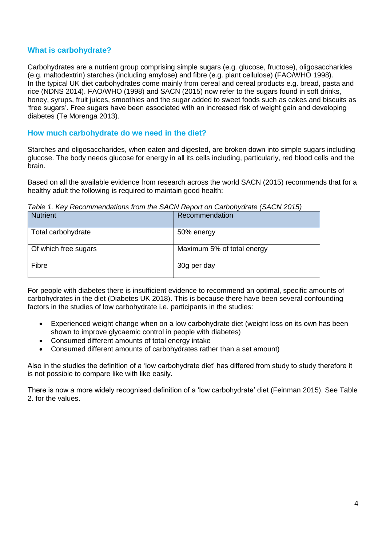#### **What is carbohydrate?**

Carbohydrates are a nutrient group comprising simple sugars (e.g. glucose, fructose), oligosaccharides (e.g. maltodextrin) starches (including amylose) and fibre (e.g. plant cellulose) (FAO/WHO 1998). In the typical UK diet carbohydrates come mainly from cereal and cereal products e.g. bread, pasta and rice (NDNS 2014). FAO/WHO (1998) and SACN (2015) now refer to the sugars found in soft drinks, honey, syrups, fruit juices, smoothies and the sugar added to sweet foods such as cakes and biscuits as 'free sugars'. Free sugars have been associated with an increased risk of weight gain and developing diabetes (Te Morenga 2013).

#### **How much carbohydrate do we need in the diet?**

Starches and oligosaccharides, when eaten and digested, are broken down into simple sugars including glucose. The body needs glucose for energy in all its cells including, particularly, red blood cells and the brain.

Based on all the available evidence from research across the world SACN (2015) recommends that for a healthy adult the following is required to maintain good health:

*Table 1. Key Recommendations from the SACN Report on Carbohydrate (SACN 2015)*

| <b>Nutrient</b>      | Recommendation             |  |
|----------------------|----------------------------|--|
| Total carbohydrate   | 50% energy                 |  |
| Of which free sugars | Maximum 5% of total energy |  |
| Fibre                | 30g per day                |  |

For people with diabetes there is insufficient evidence to recommend an optimal, specific amounts of carbohydrates in the diet (Diabetes UK 2018). This is because there have been several confounding factors in the studies of low carbohydrate i.e. participants in the studies:

- Experienced weight change when on a low carbohydrate diet (weight loss on its own has been shown to improve glycaemic control in people with diabetes)
- Consumed different amounts of total energy intake
- Consumed different amounts of carbohydrates rather than a set amount)

Also in the studies the definition of a 'low carbohydrate diet' has differed from study to study therefore it is not possible to compare like with like easily.

There is now a more widely recognised definition of a 'low carbohydrate' diet (Feinman 2015). See Table 2. for the values.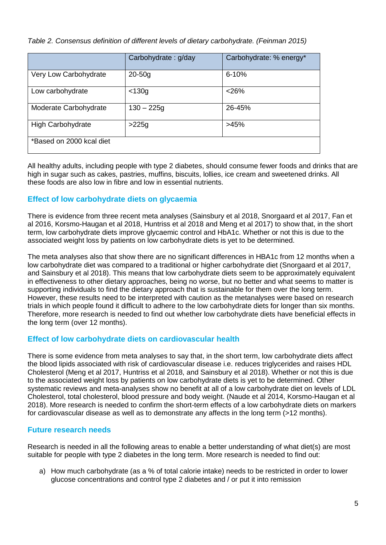#### *Table 2. Consensus definition of different levels of dietary carbohydrate. (Feinman 2015)*

|                          | Carbohydrate: g/day | Carbohydrate: % energy* |
|--------------------------|---------------------|-------------------------|
| Very Low Carbohydrate    | $20-50q$            | $6 - 10%$               |
| Low carbohydrate         | $<$ 130g            | < 26%                   |
| Moderate Carbohydrate    | $130 - 225g$        | 26-45%                  |
| <b>High Carbohydrate</b> | $>225g$             | >45%                    |
| *Based on 2000 kcal diet |                     |                         |

All healthy adults, including people with type 2 diabetes, should consume fewer foods and drinks that are high in sugar such as cakes, pastries, muffins, biscuits, lollies, ice cream and sweetened drinks. All these foods are also low in fibre and low in essential nutrients.

#### **Effect of low carbohydrate diets on glycaemia**

There is evidence from three recent meta analyses (Sainsbury et al 2018, Snorgaard et al 2017, Fan et al 2016, Korsmo-Haugan et al 2018, Huntriss et al 2018 and Meng et al 2017) to show that, in the short term, low carbohydrate diets improve glycaemic control and HbA1c. Whether or not this is due to the associated weight loss by patients on low carbohydrate diets is yet to be determined.

The meta analyses also that show there are no significant differences in HBA1c from 12 months when a low carbohydrate diet was compared to a traditional or higher carbohydrate diet (Snorgaard et al 2017, and Sainsbury et al 2018). This means that low carbohydrate diets seem to be approximately equivalent in effectiveness to other dietary approaches, being no worse, but no better and what seems to matter is supporting individuals to find the dietary approach that is sustainable for them over the long term. However, these results need to be interpreted with caution as the metanalyses were based on research trials in which people found it difficult to adhere to the low carbohydrate diets for longer than six months. Therefore, more research is needed to find out whether low carbohydrate diets have beneficial effects in the long term (over 12 months).

#### **Effect of low carbohydrate diets on cardiovascular health**

There is some evidence from meta analyses to say that, in the short term, low carbohydrate diets affect the blood lipids associated with risk of cardiovascular disease i.e. reduces triglycerides and raises HDL Cholesterol (Meng et al 2017, Huntriss et al 2018, and Sainsbury et al 2018). Whether or not this is due to the associated weight loss by patients on low carbohydrate diets is yet to be determined. Other systematic reviews and meta-analyses show no benefit at all of a low carbohydrate diet on levels of LDL Cholesterol, total cholesterol, blood pressure and body weight. (Naude et al 2014, Korsmo-Haugan et al 2018). More research is needed to confirm the short-term effects of a low carbohydrate diets on markers for cardiovascular disease as well as to demonstrate any affects in the long term (>12 months).

#### **Future research needs**

Research is needed in all the following areas to enable a better understanding of what diet(s) are most suitable for people with type 2 diabetes in the long term. More research is needed to find out:

a) How much carbohydrate (as a % of total calorie intake) needs to be restricted in order to lower glucose concentrations and control type 2 diabetes and / or put it into remission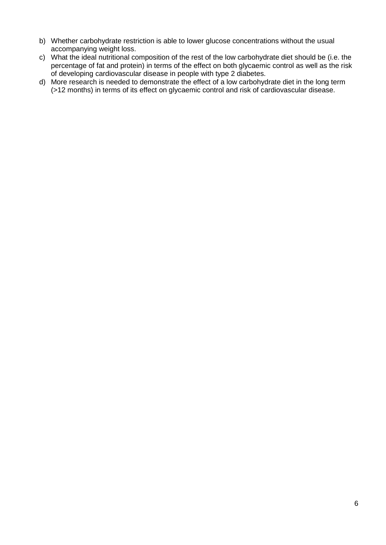- b) Whether carbohydrate restriction is able to lower glucose concentrations without the usual accompanying weight loss.
- c) What the ideal nutritional composition of the rest of the low carbohydrate diet should be (i.e. the percentage of fat and protein) in terms of the effect on both glycaemic control as well as the risk of developing cardiovascular disease in people with type 2 diabetes.
- d) More research is needed to demonstrate the effect of a low carbohydrate diet in the long term (>12 months) in terms of its effect on glycaemic control and risk of cardiovascular disease.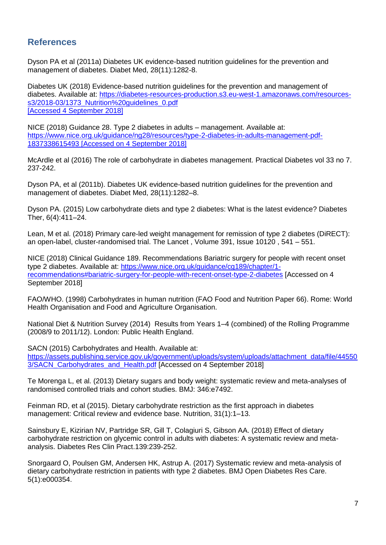## **References**

Dyson PA et al (2011a) Diabetes UK evidence-based nutrition guidelines for the prevention and management of diabetes. Diabet Med, 28(11):1282-8.

Diabetes UK (2018) Evidence-based nutrition guidelines for the prevention and management of diabetes. Available at: [https://diabetes-resources-production.s3.eu-west-1.amazonaws.com/resources](https://diabetes-resources-production.s3.eu-west-1.amazonaws.com/resources-s3/2018-03/1373_Nutrition%20guidelines_0.pdf)s3/2018-03/1373\_Nutrition%20quidelines\_0.pdf [Accessed 4 September 2018]

NICE (2018) Guidance 28. Type 2 diabetes in adults – management. Available at: [https://www.nice.org.uk/guidance/ng28/resources/type-2-diabetes-in-adults-management-pdf-](https://www.nice.org.uk/guidance/ng28/resources/type-2-diabetes-in-adults-management-pdf-1837338615493)[1837338615493](https://www.nice.org.uk/guidance/ng28/resources/type-2-diabetes-in-adults-management-pdf-1837338615493) [Accessed on 4 September 2018]

McArdle et al (2016) The role of carbohydrate in diabetes management. Practical Diabetes vol 33 no 7. 237-242.

Dyson PA, et al (2011b). Diabetes UK evidence-based nutrition guidelines for the prevention and management of diabetes. Diabet Med, 28(11):1282–8.

Dyson PA. (2015) Low carbohydrate diets and type 2 diabetes: What is the latest evidence? Diabetes Ther, 6(4):411–24.

Lean, M et al. (2018) Primary care-led weight management for remission of type 2 diabetes (DiRECT): an open-label, cluster-randomised trial. The Lancet , Volume 391, Issue 10120 , 541 – 551.

NICE (2018) Clinical Guidance 189. Recommendations Bariatric surgery for people with recent onset type 2 diabetes. Available at: [https://www.nice.org.uk/guidance/cg189/chapter/1](https://www.nice.org.uk/guidance/cg189/chapter/1-recommendations#bariatric-surgery-for-people-with-recent-onset-type-2-diabetes) [recommendations#bariatric-surgery-for-people-with-recent-onset-type-2-diabetes](https://www.nice.org.uk/guidance/cg189/chapter/1-recommendations#bariatric-surgery-for-people-with-recent-onset-type-2-diabetes) [Accessed on 4 September 2018]

FAO/WHO. (1998) Carbohydrates in human nutrition (FAO Food and Nutrition Paper 66). Rome: World Health Organisation and Food and Agriculture Organisation.

National Diet & Nutrition Survey (2014) Results from Years 1–4 (combined) of the Rolling Programme (2008/9 to 2011/12). London: Public Health England.

SACN (2015) Carbohydrates and Health. Available at:

[https://assets.publishing.service.gov.uk/government/uploads/system/uploads/attachment\\_data/file/44550](https://assets.publishing.service.gov.uk/government/uploads/system/uploads/attachment_data/file/445503/SACN_Carbohydrates_and_Health.pdf) [3/SACN\\_Carbohydrates\\_and\\_Health.pdf](https://assets.publishing.service.gov.uk/government/uploads/system/uploads/attachment_data/file/445503/SACN_Carbohydrates_and_Health.pdf) [Accessed on 4 September 2018]

Te Morenga L, et al. (2013) Dietary sugars and body weight: systematic review and meta-analyses of randomised controlled trials and cohort studies. BMJ: 346:e7492.

Feinman RD, et al (2015). Dietary carbohydrate restriction as the first approach in diabetes management: Critical review and evidence base. Nutrition, 31(1):1-13.

Sainsbury E, Kizirian NV, Partridge SR, Gill T, Colagiuri S, Gibson AA. (2018) Effect of dietary carbohydrate restriction on glycemic control in adults with diabetes: A systematic review and metaanalysis. Diabetes Res Clin Pract.139:239-252.

Snorgaard O, Poulsen GM, Andersen HK, Astrup A. (2017) Systematic review and meta-analysis of dietary carbohydrate restriction in patients with type 2 diabetes. BMJ Open Diabetes Res Care. 5(1):e000354.